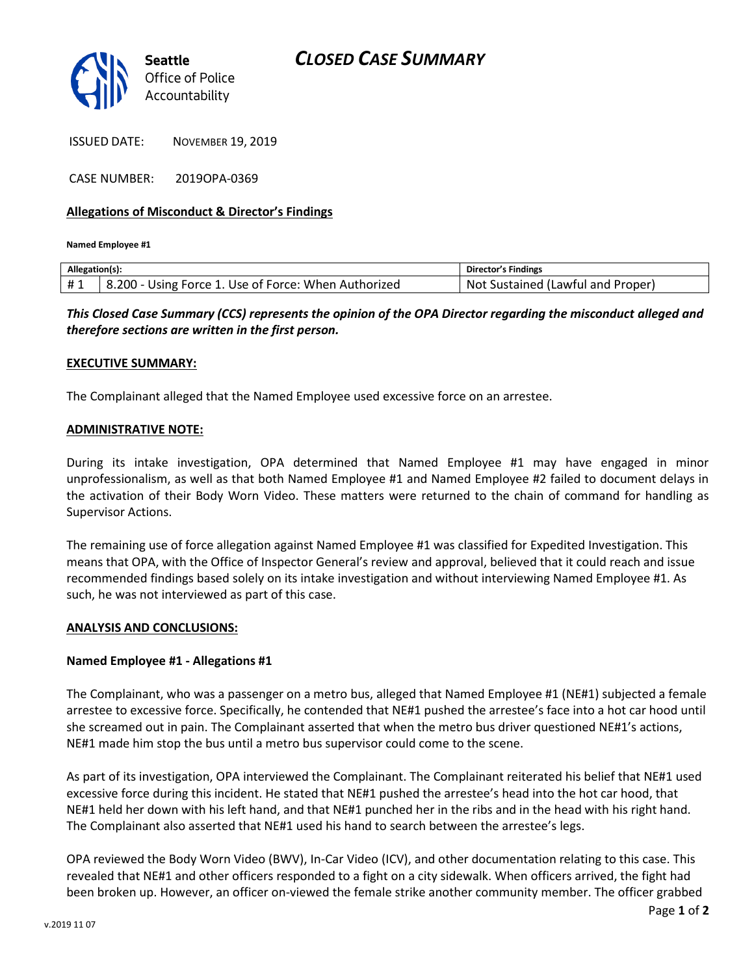

ISSUED DATE: NOVEMBER 19, 2019

CASE NUMBER: 2019OPA-0369

### **Allegations of Misconduct & Director's Findings**

**Named Employee #1**

| Allegation(s): |                                                      | Director's Findings               |
|----------------|------------------------------------------------------|-----------------------------------|
| #1             | 8.200 - Using Force 1. Use of Force: When Authorized | Not Sustained (Lawful and Proper) |
|                |                                                      |                                   |

*This Closed Case Summary (CCS) represents the opinion of the OPA Director regarding the misconduct alleged and therefore sections are written in the first person.* 

## **EXECUTIVE SUMMARY:**

The Complainant alleged that the Named Employee used excessive force on an arrestee.

#### **ADMINISTRATIVE NOTE:**

During its intake investigation, OPA determined that Named Employee #1 may have engaged in minor unprofessionalism, as well as that both Named Employee #1 and Named Employee #2 failed to document delays in the activation of their Body Worn Video. These matters were returned to the chain of command for handling as Supervisor Actions.

The remaining use of force allegation against Named Employee #1 was classified for Expedited Investigation. This means that OPA, with the Office of Inspector General's review and approval, believed that it could reach and issue recommended findings based solely on its intake investigation and without interviewing Named Employee #1. As such, he was not interviewed as part of this case.

#### **ANALYSIS AND CONCLUSIONS:**

#### **Named Employee #1 - Allegations #1**

The Complainant, who was a passenger on a metro bus, alleged that Named Employee #1 (NE#1) subjected a female arrestee to excessive force. Specifically, he contended that NE#1 pushed the arrestee's face into a hot car hood until she screamed out in pain. The Complainant asserted that when the metro bus driver questioned NE#1's actions, NE#1 made him stop the bus until a metro bus supervisor could come to the scene.

As part of its investigation, OPA interviewed the Complainant. The Complainant reiterated his belief that NE#1 used excessive force during this incident. He stated that NE#1 pushed the arrestee's head into the hot car hood, that NE#1 held her down with his left hand, and that NE#1 punched her in the ribs and in the head with his right hand. The Complainant also asserted that NE#1 used his hand to search between the arrestee's legs.

OPA reviewed the Body Worn Video (BWV), In-Car Video (ICV), and other documentation relating to this case. This revealed that NE#1 and other officers responded to a fight on a city sidewalk. When officers arrived, the fight had been broken up. However, an officer on-viewed the female strike another community member. The officer grabbed